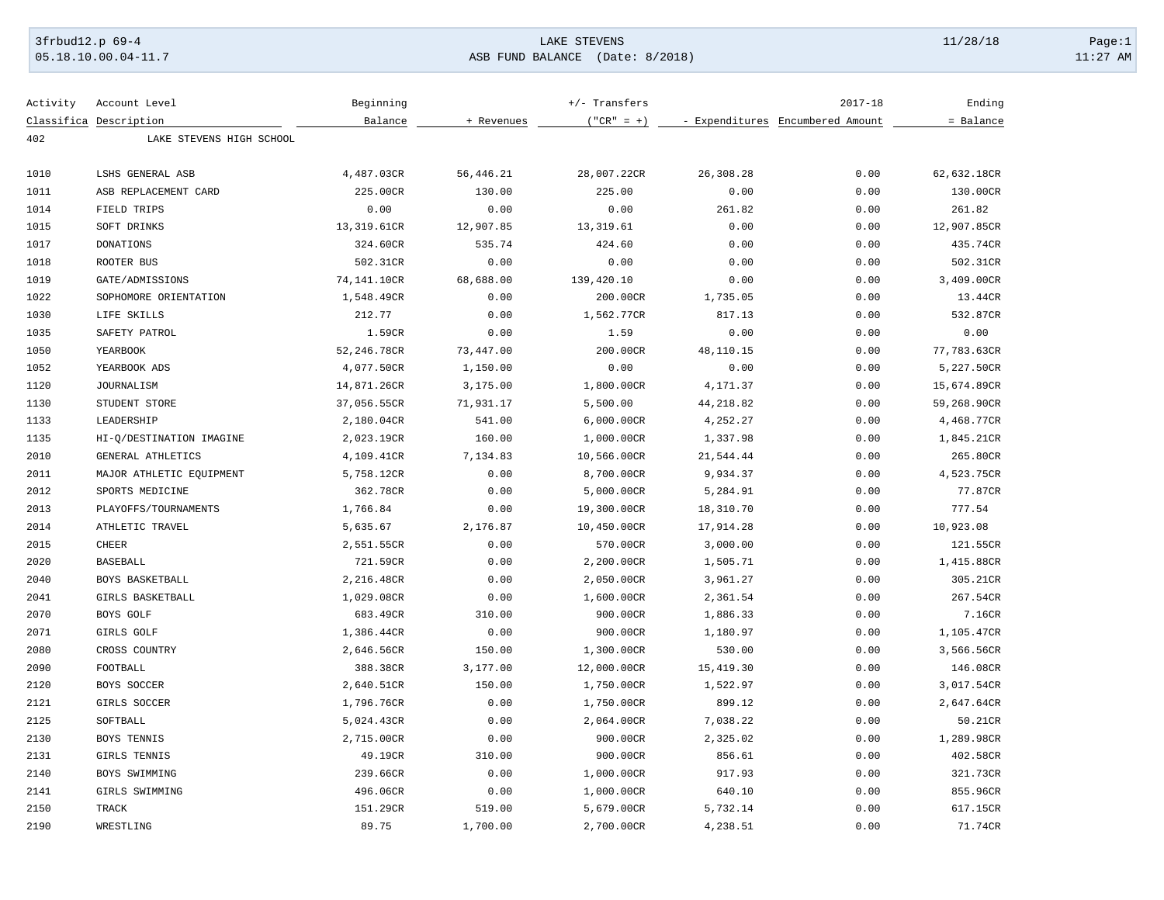## 3frbud12.p 69-4 Page:1 05.18.10.00.04-11.7 ASB FUND BALANCE (Date: 8/2018) 11:27 AM

| Activity | Account Level            | Beginning   |            | $+/-$ Transfers |           | $2017 - 18$                      | Ending      |
|----------|--------------------------|-------------|------------|-----------------|-----------|----------------------------------|-------------|
|          | Classifica Description   | Balance     | + Revenues | $("CR" = +)$    |           | - Expenditures Encumbered Amount | = Balance   |
| 402      | LAKE STEVENS HIGH SCHOOL |             |            |                 |           |                                  |             |
|          |                          |             |            |                 |           |                                  |             |
| 1010     | LSHS GENERAL ASB         | 4,487.03CR  | 56,446.21  | 28,007.22CR     | 26,308.28 | 0.00                             | 62,632.18CR |
| 1011     | ASB REPLACEMENT CARD     | 225.00CR    | 130.00     | 225.00          | 0.00      | 0.00                             | 130.00CR    |
| 1014     | FIELD TRIPS              | 0.00        | 0.00       | 0.00            | 261.82    | 0.00                             | 261.82      |
| 1015     | SOFT DRINKS              | 13,319.61CR | 12,907.85  | 13, 319.61      | 0.00      | 0.00                             | 12,907.85CR |
| 1017     | <b>DONATIONS</b>         | 324.60CR    | 535.74     | 424.60          | 0.00      | 0.00                             | 435.74CR    |
| 1018     | ROOTER BUS               | 502.31CR    | 0.00       | 0.00            | 0.00      | 0.00                             | 502.31CR    |
| 1019     | GATE/ADMISSIONS          | 74,141.10CR | 68,688.00  | 139,420.10      | 0.00      | 0.00                             | 3,409.00CR  |
| 1022     | SOPHOMORE ORIENTATION    | 1,548.49CR  | 0.00       | 200.00CR        | 1,735.05  | 0.00                             | 13.44CR     |
| 1030     | LIFE SKILLS              | 212.77      | 0.00       | 1,562.77CR      | 817.13    | 0.00                             | 532.87CR    |
| 1035     | SAFETY PATROL            | 1.59CR      | 0.00       | 1.59            | 0.00      | 0.00                             | 0.00        |
| 1050     | YEARBOOK                 | 52,246.78CR | 73,447.00  | 200.00CR        | 48,110.15 | 0.00                             | 77,783.63CR |
| 1052     | YEARBOOK ADS             | 4,077.50CR  | 1,150.00   | 0.00            | 0.00      | 0.00                             | 5,227.50CR  |
| 1120     | <b>JOURNALISM</b>        | 14,871.26CR | 3,175.00   | 1,800.00CR      | 4,171.37  | 0.00                             | 15,674.89CR |
| 1130     | STUDENT STORE            | 37,056.55CR | 71,931.17  | 5,500.00        | 44,218.82 | 0.00                             | 59,268.90CR |
| 1133     | LEADERSHIP               | 2,180.04CR  | 541.00     | 6,000.00CR      | 4,252.27  | 0.00                             | 4,468.77CR  |
| 1135     | HI-Q/DESTINATION IMAGINE | 2,023.19CR  | 160.00     | 1,000.00CR      | 1,337.98  | 0.00                             | 1,845.21CR  |
| 2010     | GENERAL ATHLETICS        | 4,109.41CR  | 7,134.83   | 10,566.00CR     | 21,544.44 | 0.00                             | 265.80CR    |
| 2011     | MAJOR ATHLETIC EQUIPMENT | 5,758.12CR  | 0.00       | 8,700.00CR      | 9,934.37  | 0.00                             | 4,523.75CR  |
| 2012     | SPORTS MEDICINE          | 362.78CR    | 0.00       | 5,000.00CR      | 5,284.91  | 0.00                             | 77.87CR     |
| 2013     | PLAYOFFS/TOURNAMENTS     | 1,766.84    | 0.00       | 19,300.00CR     | 18,310.70 | 0.00                             | 777.54      |
| 2014     | ATHLETIC TRAVEL          | 5,635.67    | 2,176.87   | 10,450.00CR     | 17,914.28 | 0.00                             | 10,923.08   |
| 2015     | <b>CHEER</b>             | 2,551.55CR  | 0.00       | 570.00CR        | 3,000.00  | 0.00                             | 121.55CR    |
| 2020     | <b>BASEBALL</b>          | 721.59CR    | 0.00       | 2,200.00CR      | 1,505.71  | 0.00                             | 1,415.88CR  |
| 2040     | BOYS BASKETBALL          | 2,216.48CR  | 0.00       | 2,050.00CR      | 3,961.27  | 0.00                             | 305.21CR    |
| 2041     | GIRLS BASKETBALL         | 1,029.08CR  | 0.00       | 1,600.00CR      | 2,361.54  | 0.00                             | 267.54CR    |
| 2070     | BOYS GOLF                | 683.49CR    | 310.00     | 900.00CR        | 1,886.33  | 0.00                             | 7.16CR      |
| 2071     | GIRLS GOLF               | 1,386.44CR  | 0.00       | 900.00CR        | 1,180.97  | 0.00                             | 1,105.47CR  |
| 2080     | CROSS COUNTRY            | 2,646.56CR  | 150.00     | 1,300.00CR      | 530.00    | 0.00                             | 3,566.56CR  |
| 2090     | FOOTBALL                 | 388.38CR    | 3,177.00   | 12,000.00CR     | 15,419.30 | 0.00                             | 146.08CR    |
| 2120     | BOYS SOCCER              | 2,640.51CR  | 150.00     | 1,750.00CR      | 1,522.97  | 0.00                             | 3,017.54CR  |
| 2121     | GIRLS SOCCER             | 1,796.76CR  | 0.00       | 1,750.00CR      | 899.12    | 0.00                             | 2,647.64CR  |
| 2125     | SOFTBALL                 | 5,024.43CR  | 0.00       | 2,064.00CR      | 7,038.22  | 0.00                             | 50.21CR     |
| 2130     | BOYS TENNIS              | 2,715.00CR  | 0.00       | 900.00CR        | 2,325.02  | 0.00                             | 1,289.98CR  |
| 2131     | GIRLS TENNIS             | 49.19CR     | 310.00     | 900.00CR        | 856.61    | 0.00                             | 402.58CR    |
| 2140     | BOYS SWIMMING            | 239.66CR    | 0.00       |                 | 917.93    | 0.00                             | 321.73CR    |
| 2141     |                          |             |            | 1,000.00CR      |           |                                  |             |
|          | GIRLS SWIMMING           | 496.06CR    | 0.00       | 1,000.00CR      | 640.10    | 0.00                             | 855.96CR    |
| 2150     | TRACK                    | 151.29CR    | 519.00     | 5,679.00CR      | 5,732.14  | 0.00                             | 617.15CR    |
| 2190     | WRESTLING                | 89.75       | 1,700.00   | 2,700.00CR      | 4,238.51  | 0.00                             | 71.74CR     |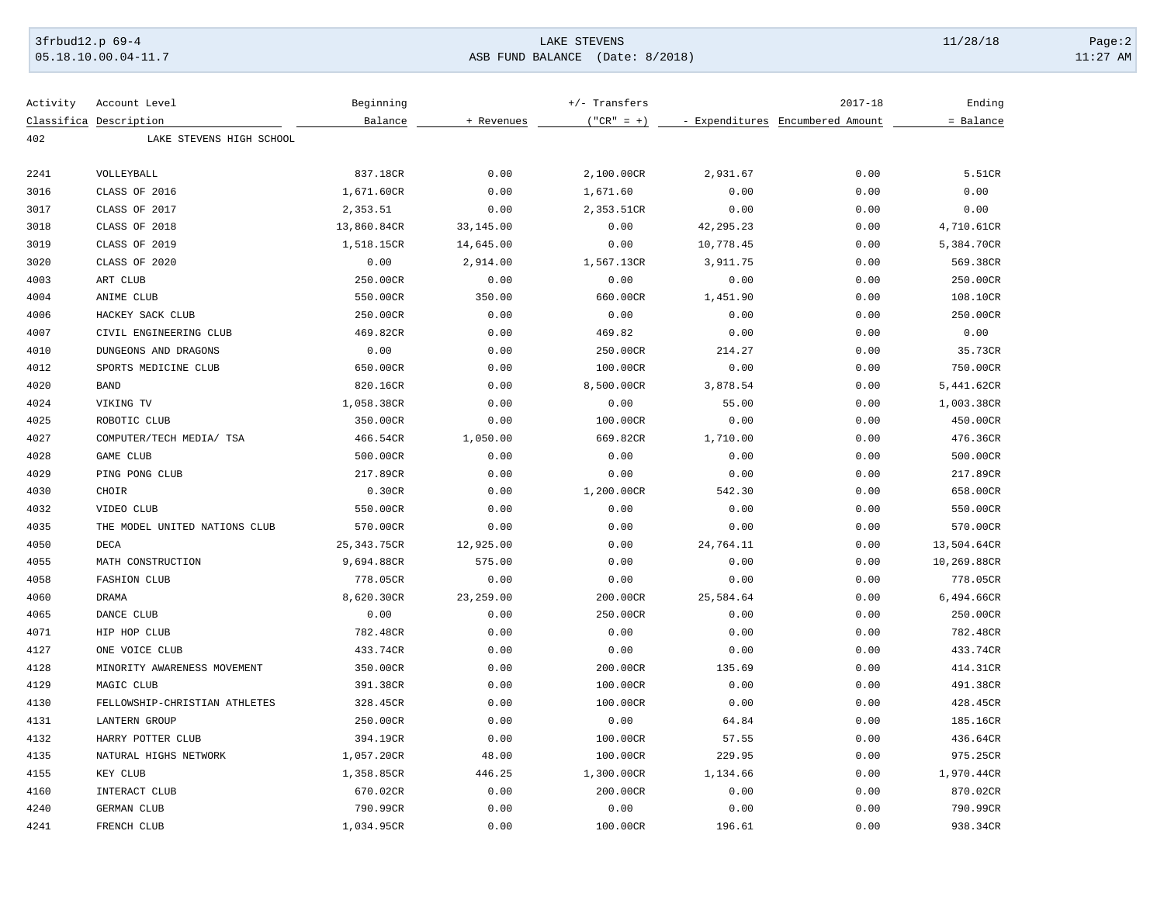## 3frbud12.p 69-4 Page:2

05.18.10.00.04-11.7 ASB FUND BALANCE (Date: 8/2018) 11:27 AM

| Activity | Account Level                 | Beginning    |            | +/- Transfers |             | $2017 - 18$                      | Ending      |
|----------|-------------------------------|--------------|------------|---------------|-------------|----------------------------------|-------------|
|          | Classifica Description        | Balance      | + Revenues | $("CR" = +)$  |             | - Expenditures Encumbered Amount | = Balance   |
| 402      | LAKE STEVENS HIGH SCHOOL      |              |            |               |             |                                  |             |
| 2241     | VOLLEYBALL                    | 837.18CR     | 0.00       | 2,100.00CR    | 2,931.67    | 0.00                             | 5.51CR      |
| 3016     | CLASS OF 2016                 | 1,671.60CR   | 0.00       | 1,671.60      | 0.00        | 0.00                             | 0.00        |
| 3017     | CLASS OF 2017                 | 2,353.51     | 0.00       | 2,353.51CR    | 0.00        | 0.00                             | 0.00        |
| 3018     | CLASS OF 2018                 | 13,860.84CR  | 33,145.00  | 0.00          | 42, 295. 23 | 0.00                             | 4,710.61CR  |
| 3019     | CLASS OF 2019                 | 1,518.15CR   | 14,645.00  | 0.00          | 10,778.45   | 0.00                             | 5,384.70CR  |
| 3020     | CLASS OF 2020                 | 0.00         | 2,914.00   | 1,567.13CR    | 3,911.75    | 0.00                             | 569.38CR    |
| 4003     | ART CLUB                      | 250.00CR     | 0.00       | 0.00          | 0.00        | 0.00                             | 250.00CR    |
| 4004     | ANIME CLUB                    | 550.00CR     | 350.00     | 660.00CR      | 1,451.90    | 0.00                             | 108.10CR    |
| 4006     | HACKEY SACK CLUB              | 250.00CR     | 0.00       | 0.00          | 0.00        | 0.00                             | 250.00CR    |
| 4007     | CIVIL ENGINEERING CLUB        | 469.82CR     | 0.00       | 469.82        | 0.00        | 0.00                             | 0.00        |
| 4010     | DUNGEONS AND DRAGONS          | 0.00         | 0.00       | 250.00CR      | 214.27      | 0.00                             | 35.73CR     |
| 4012     | SPORTS MEDICINE CLUB          | 650.00CR     | 0.00       | 100.00CR      | 0.00        | 0.00                             | 750.00CR    |
| 4020     | <b>BAND</b>                   | 820.16CR     | 0.00       | 8,500.00CR    | 3,878.54    | 0.00                             | 5,441.62CR  |
| 4024     | VIKING TV                     | 1,058.38CR   | 0.00       | 0.00          | 55.00       | 0.00                             | 1,003.38CR  |
| 4025     | ROBOTIC CLUB                  | 350.00CR     | 0.00       | 100.00CR      | 0.00        | 0.00                             | 450.00CR    |
| 4027     | COMPUTER/TECH MEDIA/ TSA      | 466.54CR     | 1,050.00   | 669.82CR      | 1,710.00    | 0.00                             | 476.36CR    |
| 4028     | <b>GAME CLUB</b>              | 500.00CR     | 0.00       | 0.00          | 0.00        | 0.00                             | 500.00CR    |
| 4029     | PING PONG CLUB                | 217.89CR     | 0.00       | 0.00          | 0.00        | 0.00                             | 217.89CR    |
| 4030     | CHOIR                         | 0.30CR       | 0.00       | 1,200.00CR    | 542.30      | 0.00                             | 658.00CR    |
| 4032     | VIDEO CLUB                    | 550.00CR     | 0.00       | 0.00          | 0.00        | 0.00                             | 550.00CR    |
| 4035     | THE MODEL UNITED NATIONS CLUB | 570.00CR     | 0.00       | 0.00          | 0.00        | 0.00                             | 570.00CR    |
| 4050     | DECA                          | 25, 343.75CR | 12,925.00  | 0.00          | 24,764.11   | 0.00                             | 13,504.64CR |
| 4055     | MATH CONSTRUCTION             | 9,694.88CR   | 575.00     | 0.00          | 0.00        | 0.00                             | 10,269.88CR |
| 4058     | <b>FASHION CLUB</b>           | 778.05CR     | 0.00       | 0.00          | 0.00        | 0.00                             | 778.05CR    |
| 4060     | <b>DRAMA</b>                  | 8,620.30CR   | 23,259.00  | 200.00CR      | 25,584.64   | 0.00                             | 6,494.66CR  |
| 4065     | DANCE CLUB                    | 0.00         | 0.00       | 250.00CR      | 0.00        | 0.00                             | 250.00CR    |
| 4071     | HIP HOP CLUB                  | 782.48CR     | 0.00       | 0.00          | 0.00        | 0.00                             | 782.48CR    |
| 4127     | ONE VOICE CLUB                | 433.74CR     | 0.00       | 0.00          | 0.00        | 0.00                             | 433.74CR    |
| 4128     | MINORITY AWARENESS MOVEMENT   | 350.00CR     | 0.00       | 200.00CR      | 135.69      | 0.00                             | 414.31CR    |
| 4129     | MAGIC CLUB                    | 391.38CR     | 0.00       | 100.00CR      | 0.00        | 0.00                             | 491.38CR    |
| 4130     | FELLOWSHIP-CHRISTIAN ATHLETES | 328.45CR     | 0.00       | 100.00CR      | 0.00        | 0.00                             | 428.45CR    |
| 4131     | <b>LANTERN GROUP</b>          | 250.00CR     | 0.00       | 0.00          | 64.84       | 0.00                             | 185.16CR    |
| 4132     | HARRY POTTER CLUB             | 394.19CR     | 0.00       | 100.00CR      | 57.55       | 0.00                             | 436.64CR    |
| 4135     | NATURAL HIGHS NETWORK         | 1,057.20CR   | 48.00      | 100.00CR      | 229.95      | 0.00                             | 975.25CR    |
| 4155     | KEY CLUB                      | 1,358.85CR   | 446.25     | 1,300.00CR    | 1,134.66    | 0.00                             | 1,970.44CR  |
| 4160     | INTERACT CLUB                 | 670.02CR     | 0.00       | 200.00CR      | 0.00        | 0.00                             | 870.02CR    |
| 4240     | GERMAN CLUB                   | 790.99CR     | 0.00       | 0.00          | 0.00        | 0.00                             | 790.99CR    |
| 4241     | FRENCH CLUB                   | 1,034.95CR   | 0.00       | 100.00CR      | 196.61      | 0.00                             | 938.34CR    |